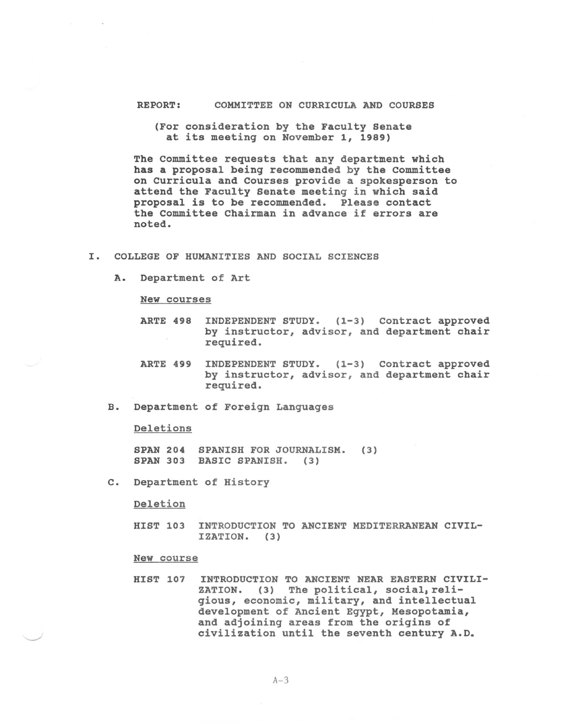## REPORT: COMMITTEE ON CURRICULA AND COURSES

(For consideration by the Faculty Senate at its meeting on November 1, 1989)

The Committee requests that any department which has a proposal being recommended by the Committee on curricula and Courses provide a spokesperson to attend the Faculty Senate meeting in which said proposal is to be recommended. Please contact the Committee Chairman in advance if errors are noted.

## I. COLLEGE OF HUMANITIES AND SOCIAL SCIENCES

A. Department of Art

New courses

- ARTE 498 INDEPENDENT STUDY. (1-3) Contract approved by instructor, advisor, and department chair required.
- ARTE 499 INDEPENDENT STUDY. (1-3) Contract approved by instructor, advisor, and department chair required.
- B. Department of Foreign Languages

Deletions

SPAN 204 SPANISH FOR JOURNALISM. (3) SPAN 303 BASIC SPANISH. (3)

c. Department of History

Deletion

HIST 103 INTRODUCTION TO ANCIENT MEDITERRANEAN CIVIL-IZATION. (3)

## New course

HIST 107 INTRODUCTION TO ANCIENT NEAR EASTERN CIVILI-ZATION. (3) The political, social, religious, economic, military, and intellectual development of Ancient Egypt, Mesopotamia, and adjoining areas from the origins of civilization until the seventh century A.D.